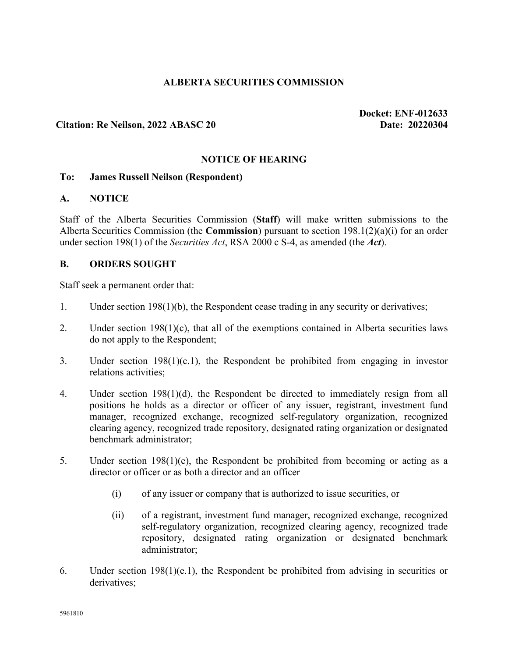## **ALBERTA SECURITIES COMMISSION**

### **Citation: Re Neilson, 2022 ABASC 20 Date: 20220304**

**Docket: ENF-012633**

### **NOTICE OF HEARING**

#### **To: James Russell Neilson (Respondent)**

#### **A. NOTICE**

Staff of the Alberta Securities Commission (**Staff**) will make written submissions to the Alberta Securities Commission (the **Commission**) pursuant to section 198.1(2)(a)(i) for an order under section 198(1) of the *Securities Act*, RSA 2000 c S-4, as amended (the *Act*).

#### **B. ORDERS SOUGHT**

Staff seek a permanent order that:

- 1. Under section 198(1)(b), the Respondent cease trading in any security or derivatives;
- 2. Under section 198(1)(c), that all of the exemptions contained in Alberta securities laws do not apply to the Respondent;
- 3. Under section 198(1)(c.1), the Respondent be prohibited from engaging in investor relations activities;
- 4. Under section 198(1)(d), the Respondent be directed to immediately resign from all positions he holds as a director or officer of any issuer, registrant, investment fund manager, recognized exchange, recognized self-regulatory organization, recognized clearing agency, recognized trade repository, designated rating organization or designated benchmark administrator;
- 5. Under section 198(1)(e), the Respondent be prohibited from becoming or acting as a director or officer or as both a director and an officer
	- (i) of any issuer or company that is authorized to issue securities, or
	- (ii) of a registrant, investment fund manager, recognized exchange, recognized self-regulatory organization, recognized clearing agency, recognized trade repository, designated rating organization or designated benchmark administrator;
- 6. Under section 198(1)(e.1), the Respondent be prohibited from advising in securities or derivatives;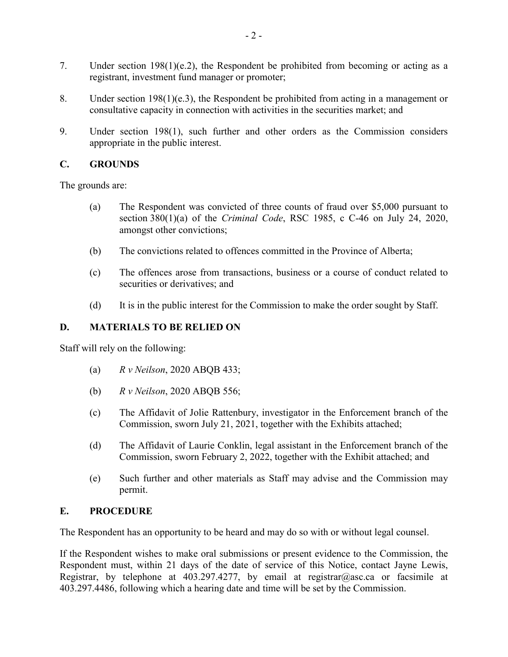- 7. Under section 198(1)(e.2), the Respondent be prohibited from becoming or acting as a registrant, investment fund manager or promoter;
- 8. Under section 198(1)(e.3), the Respondent be prohibited from acting in a management or consultative capacity in connection with activities in the securities market; and
- 9. Under section 198(1), such further and other orders as the Commission considers appropriate in the public interest.

### **C. GROUNDS**

The grounds are:

- (a) The Respondent was convicted of three counts of fraud over \$5,000 pursuant to section 380(1)(a) of the *Criminal Code*, RSC 1985, c C-46 on July 24, 2020, amongst other convictions;
- (b) The convictions related to offences committed in the Province of Alberta;
- (c) The offences arose from transactions, business or a course of conduct related to securities or derivatives; and
- (d) It is in the public interest for the Commission to make the order sought by Staff.

# **D. MATERIALS TO BE RELIED ON**

Staff will rely on the following:

- (a) *R v Neilson*, 2020 ABQB 433;
- (b) *R v Neilson*, 2020 ABQB 556;
- (c) The Affidavit of Jolie Rattenbury, investigator in the Enforcement branch of the Commission, sworn July 21, 2021, together with the Exhibits attached;
- (d) The Affidavit of Laurie Conklin, legal assistant in the Enforcement branch of the Commission, sworn February 2, 2022, together with the Exhibit attached; and
- (e) Such further and other materials as Staff may advise and the Commission may permit.

# **E. PROCEDURE**

The Respondent has an opportunity to be heard and may do so with or without legal counsel.

If the Respondent wishes to make oral submissions or present evidence to the Commission, the Respondent must, within 21 days of the date of service of this Notice, contact Jayne Lewis, Registrar, by telephone at 403.297.4277, by email at registrar@asc.ca or facsimile at 403.297.4486, following which a hearing date and time will be set by the Commission.